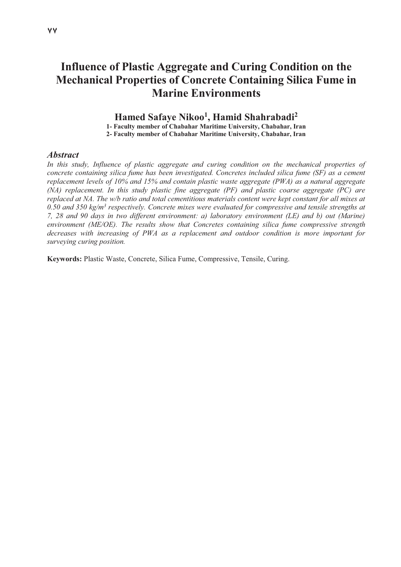# **Influence of Plastic Aggregate and Curing Condition on the Mechanical Properties of Concrete Containing Silica Fume in Marine Environments**

## **Hamed Safaye Nikoo1, Hamid Shahrabadi2**

**1- Faculty member of Chabahar Maritime University, Chabahar, Iran 2- Faculty member of Chabahar Maritime University, Chabahar, Iran** 

*Abstract* 

In this study, Influence of plastic aggregate and curing condition on the mechanical properties of *concrete containing silica fume has been investigated. Concretes included silica fume (SF) as a cement replacement levels of 10% and 15% and contain plastic waste aggregate (PWA) as a natural aggregate (NA) replacement. In this study plastic fine aggregate (PF) and plastic coarse aggregate (PC) are replaced at NA. The w/b ratio and total cementitious materials content were kept constant for all mixes at*  0.50 and 350 kg/m<sup>3</sup> respectively. Concrete mixes were evaluated for compressive and tensile strengths at *7, 28 and 90 days in two different environment: a) laboratory environment (LE) and b) out (Marine) environment (ME/OE). The results show that Concretes containing silica fume compressive strength decreases with increasing of PWA as a replacement and outdoor condition is more important for surveying curing position.* 

**Keywords:** Plastic Waste, Concrete, Silica Fume, Compressive, Tensile, Curing.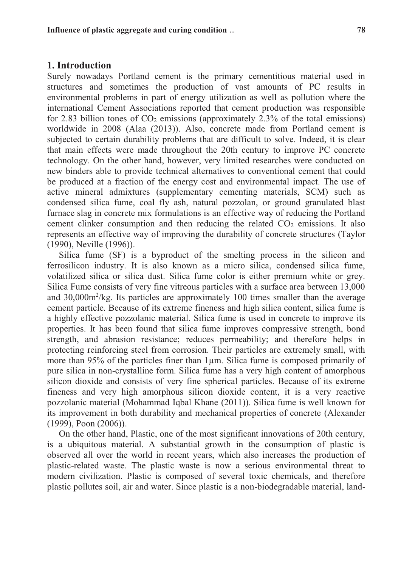#### **1. Introduction**

Surely nowadays Portland cement is the primary cementitious material used in structures and sometimes the production of vast amounts of PC results in environmental problems in part of energy utilization as well as pollution where the international Cement Associations reported that cement production was responsible for 2.83 billion tones of  $CO<sub>2</sub>$  emissions (approximately 2.3% of the total emissions) worldwide in 2008 (Alaa (2013)). Also, concrete made from Portland cement is subjected to certain durability problems that are difficult to solve. Indeed, it is clear that main effects were made throughout the 20th century to improve PC concrete technology. On the other hand, however, very limited researches were conducted on new binders able to provide technical alternatives to conventional cement that could be produced at a fraction of the energy cost and environmental impact. The use of active mineral admixtures (supplementary cementing materials, SCM) such as condensed silica fume, coal fly ash, natural pozzolan, or ground granulated blast furnace slag in concrete mix formulations is an effective way of reducing the Portland cement clinker consumption and then reducing the related  $CO<sub>2</sub>$  emissions. It also represents an effective way of improving the durability of concrete structures (Taylor (1990), Neville (1996)).

Silica fume (SF) is a byproduct of the smelting process in the silicon and ferrosilicon industry. It is also known as a micro silica, condensed silica fume, volatilized silica or silica dust. Silica fume color is either premium white or grey. Silica Fume consists of very fine vitreous particles with a surface area between 13,000 and 30,000m2 /kg. Its particles are approximately 100 times smaller than the average cement particle. Because of its extreme fineness and high silica content, silica fume is a highly effective pozzolanic material. Silica fume is used in concrete to improve its properties. It has been found that silica fume improves compressive strength, bond strength, and abrasion resistance; reduces permeability; and therefore helps in protecting reinforcing steel from corrosion. Their particles are extremely small, with more than 95% of the particles finer than 1µm. Silica fume is composed primarily of pure silica in non-crystalline form. Silica fume has a very high content of amorphous silicon dioxide and consists of very fine spherical particles. Because of its extreme fineness and very high amorphous silicon dioxide content, it is a very reactive pozzolanic material (Mohammad Iqbal Khane (2011)). Silica fume is well known for its improvement in both durability and mechanical properties of concrete (Alexander (1999), Poon (2006)).

On the other hand, Plastic, one of the most significant innovations of 20th century, is a ubiquitous material. A substantial growth in the consumption of plastic is observed all over the world in recent years, which also increases the production of plastic-related waste. The plastic waste is now a serious environmental threat to modern civilization. Plastic is composed of several toxic chemicals, and therefore plastic pollutes soil, air and water. Since plastic is a non-biodegradable material, land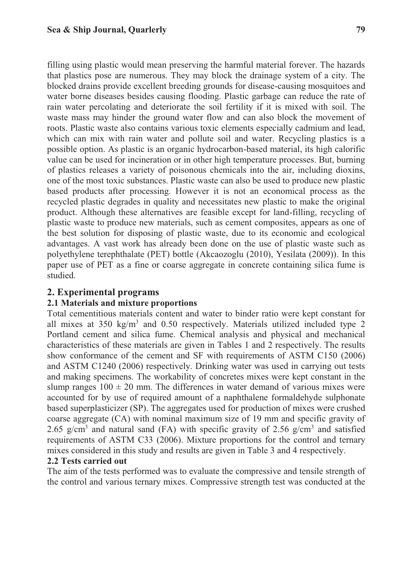filling using plastic would mean preserving the harmful material forever. The hazards that plastics pose are numerous. They may block the drainage system of a city. The blocked drains provide excellent breeding grounds for disease-causing mosquitoes and water borne diseases besides causing flooding. Plastic garbage can reduce the rate of rain water percolating and deteriorate the soil fertility if it is mixed with soil. The waste mass may hinder the ground water flow and can also block the movement of roots. Plastic waste also contains various toxic elements especially cadmium and lead, which can mix with rain water and pollute soil and water. Recycling plastics is a possible option. As plastic is an organic hydrocarbon-based material, its high calorific value can be used for incineration or in other high temperature processes. But, burning of plastics releases a variety of poisonous chemicals into the air, including dioxins, one of the most toxic substances. Plastic waste can also be used to produce new plastic based products after processing. However it is not an economical process as the recycled plastic degrades in quality and necessitates new plastic to make the original product. Although these alternatives are feasible except for land-filling, recycling of plastic waste to produce new materials, such as cement composites, appears as one of the best solution for disposing of plastic waste, due to its economic and ecological advantages. A vast work has already been done on the use of plastic waste such as polyethylene terephthalate (PET) bottle (Akcaozoglu (2010), Yesilata (2009)). In this paper use of PET as a fine or coarse aggregate in concrete containing silica fume is studied.

## **2. Experimental programs**

## **2.1 Materials and mixture proportions**

Total cementitious materials content and water to binder ratio were kept constant for all mixes at  $350 \text{ kg/m}^3$  and  $0.50$  respectively. Materials utilized included type 2 Portland cement and silica fume. Chemical analysis and physical and mechanical characteristics of these materials are given in Tables 1 and 2 respectively. The results show conformance of the cement and SF with requirements of ASTM C150 (2006) and ASTM C1240 (2006) respectively. Drinking water was used in carrying out tests and making specimens. The workability of concretes mixes were kept constant in the slump ranges  $100 \pm 20$  mm. The differences in water demand of various mixes were accounted for by use of required amount of a naphthalene formaldehyde sulphonate based superplasticizer (SP). The aggregates used for production of mixes were crushed coarse aggregate (CA) with nominal maximum size of 19 mm and specific gravity of 2.65 g/cm<sup>3</sup> and natural sand (FA) with specific gravity of 2.56 g/cm<sup>3</sup> and satisfied requirements of ASTM C33 (2006). Mixture proportions for the control and ternary mixes considered in this study and results are given in Table 3 and 4 respectively.

## **2.2 Tests carried out**

The aim of the tests performed was to evaluate the compressive and tensile strength of the control and various ternary mixes. Compressive strength test was conducted at the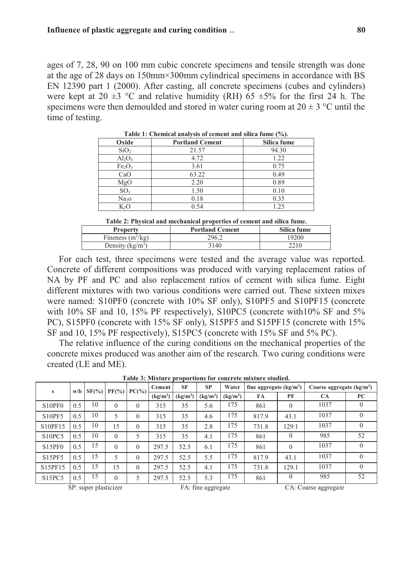ages of 7, 28, 90 on 100 mm cubic concrete specimens and tensile strength was done at the age of 28 days on 150mm×300mm cylindrical specimens in accordance with BS EN 12390 part 1 (2000). After casting, all concrete specimens (cubes and cylinders) were kept at 20  $\pm$ 3 °C and relative humidity (RH) 65  $\pm$ 5% for the first 24 h. The specimens were then demoulded and stored in water curing room at  $20 \pm 3$  °C until the time of testing.

| Oxide                          | <b>Portland Cement</b> | Silica fume |
|--------------------------------|------------------------|-------------|
| SiO <sub>2</sub>               | 21.57                  | 94.30       |
| $Al_2O_3$                      | 4.72                   | 1.22        |
| Fe <sub>2</sub> O <sub>3</sub> | 3.61                   | 0.75        |
| CaO                            | 63.22                  | 0.49        |
| MgO                            | 2.20                   | 0.89        |
| SO <sub>3</sub>                | 1.50                   | 0.10        |
| Na <sub>2</sub> O              | 0.18                   | 0.35        |
| $K_2C$                         | 0.54                   | 1.25        |

**Table 1: Chemical analysis of cement and silica fume (%).** 

**Table 2: Physical and mechanical properties of cement and silica fume.** 

| <b>Property</b>     | <b>Portland Cement</b> | Silica fume |
|---------------------|------------------------|-------------|
| Fineness $(m^2/kg)$ | 296.2                  | 19200       |
| Density $(kg/m^3)$  | 3140                   | 2210        |

For each test, three specimens were tested and the average value was reported. Concrete of different compositions was produced with varying replacement ratios of NA by PF and PC and also replacement ratios of cement with silica fume. Eight different mixtures with two various conditions were carried out. These sixteen mixes were named: S10PF0 (concrete with 10% SF only), S10PF5 and S10PF15 (concrete with 10% SF and 10, 15% PF respectively), S10PC5 (concrete with 10% SF and 5% PC), S15PF0 (concrete with 15% SF only), S15PF5 and S15PF15 (concrete with 15% SF and 10, 15% PF respectively), S15PC5 (concrete with 15% SF and 5% PC).

The relative influence of the curing conditions on the mechanical properties of the concrete mixes produced was another aim of the research. Two curing conditions were created (LE and ME).

| w/b<br>s                        |     | $SF(\%)$ | $PF(\%) $ | $PC(\%)$ | <b>Cement</b>        | <b>SF</b>            | <b>SP</b><br>Water<br>fine aggregate $(kg/m3)$ |                      | Coarse aggregate $(kg/m3)$ |          |      |          |
|---------------------------------|-----|----------|-----------|----------|----------------------|----------------------|------------------------------------------------|----------------------|----------------------------|----------|------|----------|
|                                 |     |          |           |          | (kg/m <sup>3</sup> ) | (kg/m <sup>3</sup> ) | (kg/m <sup>3</sup> )                           | (kg/m <sup>3</sup> ) | FA                         | PF       | CA   | PC       |
| S <sub>10</sub> PF <sub>0</sub> | 0.5 | 10       | $\theta$  | $\theta$ | 315                  | 35                   | 5.6                                            | 175                  | 861                        | $\theta$ | 1037 |          |
| <b>S10PF5</b>                   | 0.5 | 10       |           | $\theta$ | 315                  | 35                   | 4.6                                            | 175                  | 817.9                      | 43.1     | 1037 |          |
| S10PF15                         | 0.5 | 10       | 15        | $\theta$ | 315                  | 35                   | 2.8                                            | 175                  | 731.8                      | 129.1    | 1037 | $\Omega$ |
| S <sub>10</sub> PC <sub>5</sub> | 0.5 | 10       | $\theta$  | 5        | 315                  | 35                   | 4.1                                            | 175                  | 861                        | $\theta$ | 985  | 52       |
| S <sub>15</sub> PF <sub>0</sub> | 0.5 | 15       | $\theta$  | $\theta$ | 297.5                | 52.5                 | 6.1                                            | 175                  | 861                        | $\theta$ | 1037 |          |
| S15PF5                          | 0.5 | 15       |           | $\theta$ | 297.5                | 52.5                 | 5.5                                            | 175                  | 817.9                      | 43.1     | 1037 | $\Omega$ |
| S15PF15                         | 0.5 | 15       | 15        | $\theta$ | 297.5                | 52.5                 | 4.1                                            | 175                  | 731.8                      | 129.1    | 1037 | $\Omega$ |
| S <sub>15</sub> PC <sub>5</sub> | 0.5 | 15       | $\theta$  | 5        | 297.5                | 52.5                 | 5.3                                            | 175                  | 861                        | $\theta$ | 985  | 52       |

**Table 3: Mixture proportions for concrete mixture studied.** 

SP: super plasticizer FA: fine aggregate CA: Coarse aggregate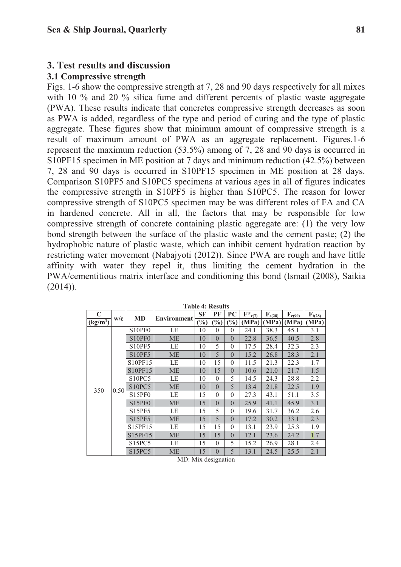### **3. Test results and discussion**

#### **3.1 Compressive strength**

Figs. 1-6 show the compressive strength at 7, 28 and 90 days respectively for all mixes with 10 % and 20 % silica fume and different percents of plastic waste aggregate (PWA). These results indicate that concretes compressive strength decreases as soon as PWA is added, regardless of the type and period of curing and the type of plastic aggregate. These figures show that minimum amount of compressive strength is a result of maximum amount of PWA as an aggregate replacement. Figures.1-6 represent the maximum reduction (53.5%) among of 7, 28 and 90 days is occurred in S10PF15 specimen in ME position at 7 days and minimum reduction (42.5%) between 7, 28 and 90 days is occurred in S10PF15 specimen in ME position at 28 days. Comparison S10PF5 and S10PC5 specimens at various ages in all of figures indicates the compressive strength in S10PF5 is higher than S10PC5. The reason for lower compressive strength of S10PC5 specimen may be was different roles of FA and CA in hardened concrete. All in all, the factors that may be responsible for low compressive strength of concrete containing plastic aggregate are: (1) the very low bond strength between the surface of the plastic waste and the cement paste; (2) the hydrophobic nature of plastic waste, which can inhibit cement hydration reaction by restricting water movement (Nabajyoti (2012)). Since PWA are rough and have little affinity with water they repel it, thus limiting the cement hydration in the PWA/cementitious matrix interface and conditioning this bond (Ismail (2008), Saikia  $(2014)$ ).

| C          |      | <b>MD</b>                       |                    | <b>SF</b> | PF       | PC             | $\mathbf{F}^*_{\mathbf{c}(\mathcal{I})}$ | $F_{c(28)}$ | $\mathbf{F}_{c(90)}$ | $F_{t(28)}$ |
|------------|------|---------------------------------|--------------------|-----------|----------|----------------|------------------------------------------|-------------|----------------------|-------------|
| $(kg/m^3)$ | w/c  |                                 | <b>Environment</b> | $(\%)$    | (%)      | $\binom{0}{0}$ | (MPa)                                    | (MPa)       | (MPa)                | (MPa)       |
| 350        | 0.50 | S <sub>10</sub> PF <sub>0</sub> | LE                 | 10        | $\theta$ | $\theta$       | 24.1                                     | 38.3        | 45.1                 | 3.1         |
|            |      | S10PF0                          | <b>ME</b>          | 10        | $\theta$ | $\Omega$       | 22.8                                     | 36.5        | 40.5                 | 2.8         |
|            |      | <b>S10PF5</b>                   | LE                 | 10        | 5        | $\theta$       | 17.5                                     | 28.4        | 32.3                 | 2.3         |
|            |      | <b>S10PF5</b>                   | ME                 | 10        | 5        | $\Omega$       | 15.2                                     | 26.8        | 28.3                 | 2.1         |
|            |      | S10PF15                         | LE                 | 10        | 15       | $\theta$       | 11.5                                     | 21.3        | 22.3                 | 1.7         |
|            |      | S10PF15                         | <b>ME</b>          | 10        | 15       | $\theta$       | 10.6                                     | 21.0        | 21.7                 | 1.5         |
|            |      | S <sub>10</sub> PC <sub>5</sub> | LE                 | 10        | $\theta$ | 5              | 14.5                                     | 24.3        | 28.8                 | 2.2         |
|            |      | S10PC5                          | <b>ME</b>          | 10        | $\theta$ | 5              | 13.4                                     | 21.8        | 22.5                 | 1.9         |
|            |      | S <sub>15</sub> PF <sub>0</sub> | LE                 | 15        | $\theta$ | $\theta$       | 27.3                                     | 43.1        | 51.1                 | 3.5         |
|            |      | S15PF0                          | <b>ME</b>          | 15        | $\theta$ | $\theta$       | 25.9                                     | 41.1        | 45.9                 | 3.1         |
|            |      | <b>S15PF5</b>                   | LE                 | 15        | 5        | $\Omega$       | 19.6                                     | 31.7        | 36.2                 | 2.6         |
|            |      | S15PF5                          | <b>ME</b>          | 15        | 5        | $\theta$       | 17.2                                     | 30.2        | 33.1                 | 2.3         |
|            |      | S15PF15                         | LE                 | 15        | 15       | $\Omega$       | 13.1                                     | 23.9        | 25.3                 | 1.9         |
|            |      | S15PF15                         | <b>ME</b>          | 15        | 15       | $\Omega$       | 12.1                                     | 23.6        | 24.2                 | 1.7         |
|            |      | S15PC5                          | LE                 | 15        | $\theta$ | 5              | 15.2                                     | 26.9        | 28.1                 | 2.4         |
|            |      | S15PC5                          | <b>ME</b>          | 15        | $\theta$ | 5              | 13.1                                     | 24.5        | 25.5                 | 2.1         |

**Table 4: Results** 

MD: Mix designation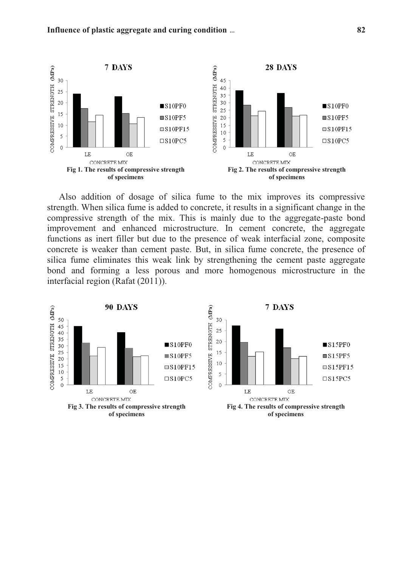

Also addition of dosage of silica fume to the mix improves its compressive strength. When silica fume is added to concrete, it results in a significant change in the compressive strength of the mix. This is mainly due to the aggregate-paste bond improvement and enhanced microstructure. In cement concrete, the aggregate functions as inert filler but due to the presence of weak interfacial zone, composite concrete is weaker than cement paste. But, in silica fume concrete, the presence of silica fume eliminates this weak link by strengthening the cement paste aggregate bond and forming a less porous and more homogenous microstructure in the interfacial region (Rafat (2011)).

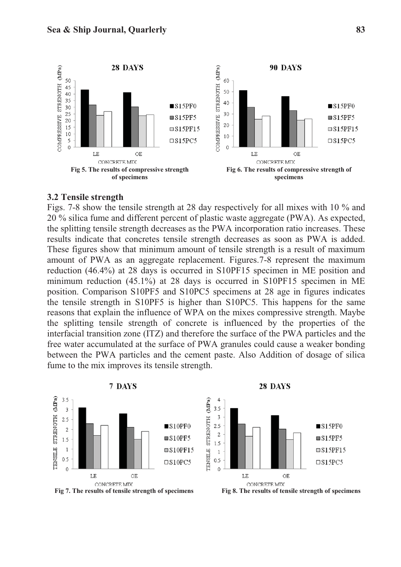

#### **3.2 Tensile strength**

Figs. 7-8 show the tensile strength at 28 day respectively for all mixes with 10 % and 20 % silica fume and different percent of plastic waste aggregate (PWA). As expected, the splitting tensile strength decreases as the PWA incorporation ratio increases. These results indicate that concretes tensile strength decreases as soon as PWA is added. These figures show that minimum amount of tensile strength is a result of maximum amount of PWA as an aggregate replacement. Figures.7-8 represent the maximum reduction (46.4%) at 28 days is occurred in S10PF15 specimen in ME position and minimum reduction (45.1%) at 28 days is occurred in S10PF15 specimen in ME position. Comparison S10PF5 and S10PC5 specimens at 28 age in figures indicates the tensile strength in S10PF5 is higher than S10PC5. This happens for the same reasons that explain the influence of WPA on the mixes compressive strength. Maybe the splitting tensile strength of concrete is influenced by the properties of the interfacial transition zone (ITZ) and therefore the surface of the PWA particles and the free water accumulated at the surface of PWA granules could cause a weaker bonding between the PWA particles and the cement paste. Also Addition of dosage of silica fume to the mix improves its tensile strength.

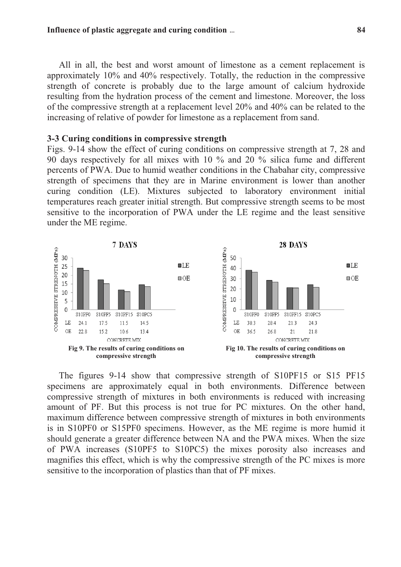All in all, the best and worst amount of limestone as a cement replacement is approximately 10% and 40% respectively. Totally, the reduction in the compressive strength of concrete is probably due to the large amount of calcium hydroxide resulting from the hydration process of the cement and limestone. Moreover, the loss of the compressive strength at a replacement level 20% and 40% can be related to the increasing of relative of powder for limestone as a replacement from sand.

#### **3-3 Curing conditions in compressive strength**

Figs. 9-14 show the effect of curing conditions on compressive strength at 7, 28 and 90 days respectively for all mixes with 10 % and 20 % silica fume and different percents of PWA. Due to humid weather conditions in the Chabahar city, compressive strength of specimens that they are in Marine environment is lower than another curing condition (LE). Mixtures subjected to laboratory environment initial temperatures reach greater initial strength. But compressive strength seems to be most sensitive to the incorporation of PWA under the LE regime and the least sensitive under the ME regime.



The figures 9-14 show that compressive strength of S10PF15 or S15 PF15 specimens are approximately equal in both environments. Difference between compressive strength of mixtures in both environments is reduced with increasing amount of PF. But this process is not true for PC mixtures. On the other hand, maximum difference between compressive strength of mixtures in both environments is in S10PF0 or S15PF0 specimens. However, as the ME regime is more humid it should generate a greater difference between NA and the PWA mixes. When the size of PWA increases (S10PF5 to S10PC5) the mixes porosity also increases and magnifies this effect, which is why the compressive strength of the PC mixes is more sensitive to the incorporation of plastics than that of PF mixes.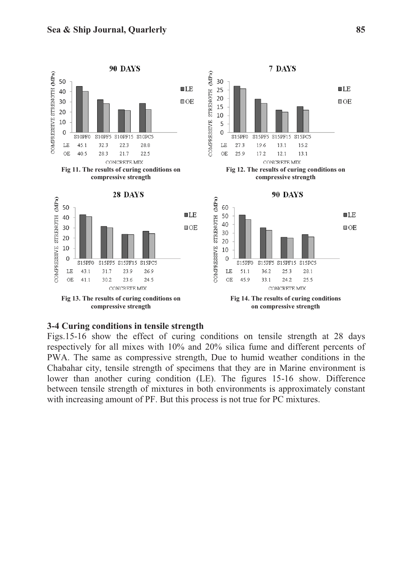

#### **3-4 Curing conditions in tensile strength**

Figs.15-16 show the effect of curing conditions on tensile strength at 28 days respectively for all mixes with 10% and 20% silica fume and different percents of PWA. The same as compressive strength, Due to humid weather conditions in the Chabahar city, tensile strength of specimens that they are in Marine environment is lower than another curing condition (LE). The figures 15-16 show. Difference between tensile strength of mixtures in both environments is approximately constant with increasing amount of PF. But this process is not true for PC mixtures.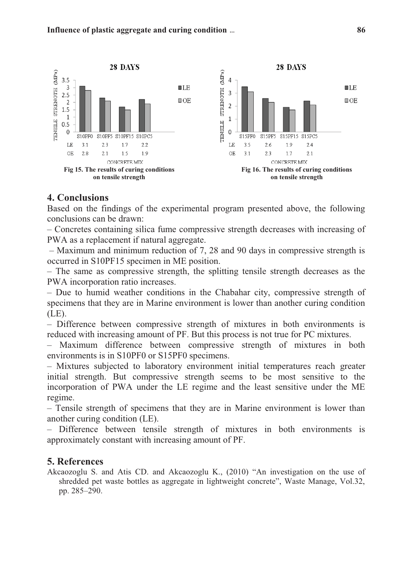

## **4. Conclusions**

Based on the findings of the experimental program presented above, the following conclusions can be drawn:

– Concretes containing silica fume compressive strength decreases with increasing of PWA as a replacement if natural aggregate.

– Maximum and minimum reduction of 7, 28 and 90 days in compressive strength is occurred in S10PF15 specimen in ME position.

– The same as compressive strength, the splitting tensile strength decreases as the PWA incorporation ratio increases.

– Due to humid weather conditions in the Chabahar city, compressive strength of specimens that they are in Marine environment is lower than another curing condition (LE).

– Difference between compressive strength of mixtures in both environments is reduced with increasing amount of PF. But this process is not true for PC mixtures.

– Maximum difference between compressive strength of mixtures in both environments is in S10PF0 or S15PF0 specimens.

– Mixtures subjected to laboratory environment initial temperatures reach greater initial strength. But compressive strength seems to be most sensitive to the incorporation of PWA under the LE regime and the least sensitive under the ME regime.

– Tensile strength of specimens that they are in Marine environment is lower than another curing condition (LE).

– Difference between tensile strength of mixtures in both environments is approximately constant with increasing amount of PF.

## **5. References**

Akcaozoglu S. and Atis CD. and Akcaozoglu K., (2010) "An investigation on the use of shredded pet waste bottles as aggregate in lightweight concrete", Waste Manage, Vol.32, pp. 285–290.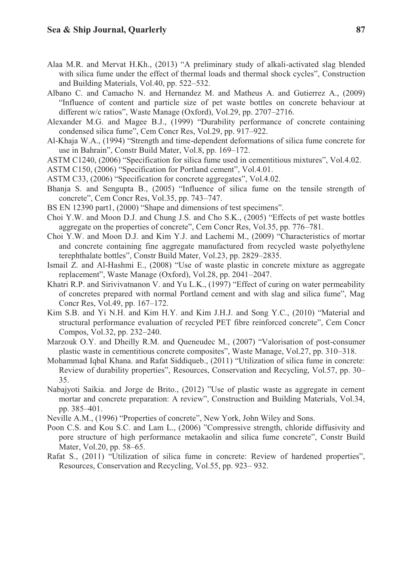- Alaa M.R. and Mervat H.Kh., (2013) "A preliminary study of alkali-activated slag blended with silica fume under the effect of thermal loads and thermal shock cycles", Construction and Building Materials, Vol.40, pp. 522–532.
- Albano C. and Camacho N. and Hernandez M. and Matheus A. and Gutierrez A., (2009) "Influence of content and particle size of pet waste bottles on concrete behaviour at different w/c ratios", Waste Manage (Oxford), Vol.29, pp. 2707–2716.
- Alexander M.G. and Magee B.J., (1999) "Durability performance of concrete containing condensed silica fume", Cem Concr Res, Vol.29, pp. 917–922.
- Al-Khaja W.A., (1994) "Strength and time-dependent deformations of silica fume concrete for use in Bahrain", Constr Build Mater, Vol.8, pp. 169–172.
- ASTM C1240, (2006) "Specification for silica fume used in cementitious mixtures", Vol.4.02.
- ASTM C150, (2006) "Specification for Portland cement", Vol.4.01.
- ASTM C33, (2006) "Specification for concrete aggregates", Vol.4.02.
- Bhanja S. and Sengupta B., (2005) "Influence of silica fume on the tensile strength of concrete", Cem Concr Res, Vol.35, pp. 743–747.
- BS EN 12390 part1, (2000) "Shape and dimensions of test specimens".
- Choi Y.W. and Moon D.J. and Chung J.S. and Cho S.K., (2005) "Effects of pet waste bottles aggregate on the properties of concrete", Cem Concr Res, Vol.35, pp. 776–781.
- Choi Y.W. and Moon D.J. and Kim Y.J. and Lachemi M., (2009) "Characteristics of mortar and concrete containing fine aggregate manufactured from recycled waste polyethylene terephthalate bottles", Constr Build Mater, Vol.23, pp. 2829–2835.
- Ismail Z. and Al-Hashmi E., (2008) "Use of waste plastic in concrete mixture as aggregate replacement", Waste Manage (Oxford), Vol.28, pp. 2041–2047.
- Khatri R.P. and Sirivivatnanon V. and Yu L.K., (1997) "Effect of curing on water permeability of concretes prepared with normal Portland cement and with slag and silica fume", Mag Concr Res, Vol.49, pp. 167–172.
- Kim S.B. and Yi N.H. and Kim H.Y. and Kim J.H.J. and Song Y.C., (2010) "Material and structural performance evaluation of recycled PET fibre reinforced concrete", Cem Concr Compos, Vol.32, pp. 232–240.
- Marzouk O.Y. and Dheilly R.M. and Queneudec M., (2007) "Valorisation of post-consumer plastic waste in cementitious concrete composites", Waste Manage, Vol.27, pp. 310–318.
- Mohammad Iqbal Khana. and Rafat Siddiqueb., (2011) "Utilization of silica fume in concrete: Review of durability properties", Resources, Conservation and Recycling, Vol.57, pp. 30– 35.
- Nabajyoti Saikia. and Jorge de Brito., (2012) "Use of plastic waste as aggregate in cement mortar and concrete preparation: A review", Construction and Building Materials, Vol.34, pp. 385–401.
- Neville A.M., (1996) "Properties of concrete", New York, John Wiley and Sons.
- Poon C.S. and Kou S.C. and Lam L., (2006) "Compressive strength, chloride diffusivity and pore structure of high performance metakaolin and silica fume concrete", Constr Build Mater, Vol.20, pp. 58–65.
- Rafat S., (2011) "Utilization of silica fume in concrete: Review of hardened properties", Resources, Conservation and Recycling, Vol.55, pp. 923– 932.